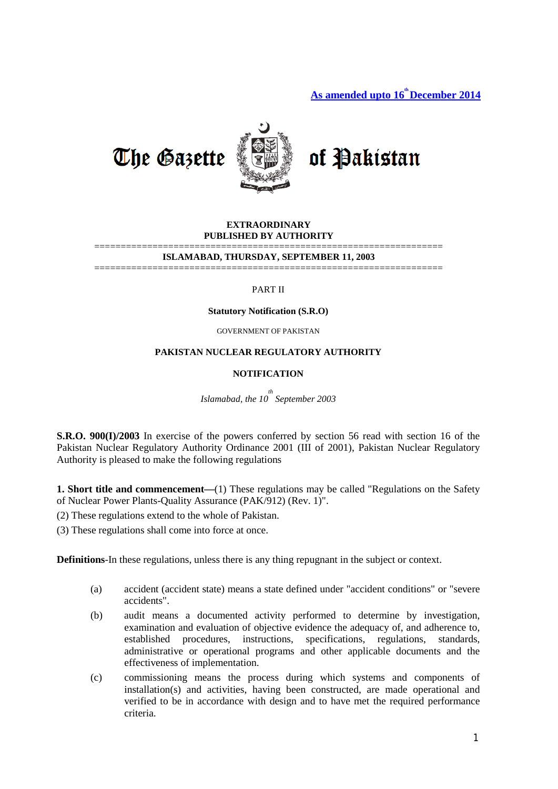As amended upto  $16^{\text{th}}$  December 2014



### **EXTRAORDINARY PUBLISHED BY AUTHORITY**

#### ================================================================== **ISLAMABAD, THURSDAY, SEPTEMBER 11, 2003**

==================================================================

#### PART II

#### **Statutory Notification (S.R.O)**

GOVERNMENT OF PAKISTAN

### **PAKISTAN NUCLEAR REGULATORY AUTHORITY**

#### **NOTIFICATION**

*Islamabad, the 10th September 2003* 

**S.R.O. 900(I)/2003** In exercise of the powers conferred by section 56 read with section 16 of the Pakistan Nuclear Regulatory Authority Ordinance 2001 (III of 2001), Pakistan Nuclear Regulatory Authority is pleased to make the following regulations

**1. Short title and commencement—(1)** These regulations may be called "Regulations on the Safety of Nuclear Power Plants-Quality Assurance (PAK/912) (Rev. 1)".

(2) These regulations extend to the whole of Pakistan.

(3) These regulations shall come into force at once.

**Definitions**-In these regulations, unless there is any thing repugnant in the subject or context.

- (a) accident (accident state) means a state defined under "accident conditions" or "severe accidents".
- (b) audit means a documented activity performed to determine by investigation, examination and evaluation of objective evidence the adequacy of, and adherence to, established procedures, instructions, specifications, regulations, standards, administrative or operational programs and other applicable documents and the effectiveness of implementation.
- (c) commissioning means the process during which systems and components of installation(s) and activities, having been constructed, are made operational and verified to be in accordance with design and to have met the required performance criteria.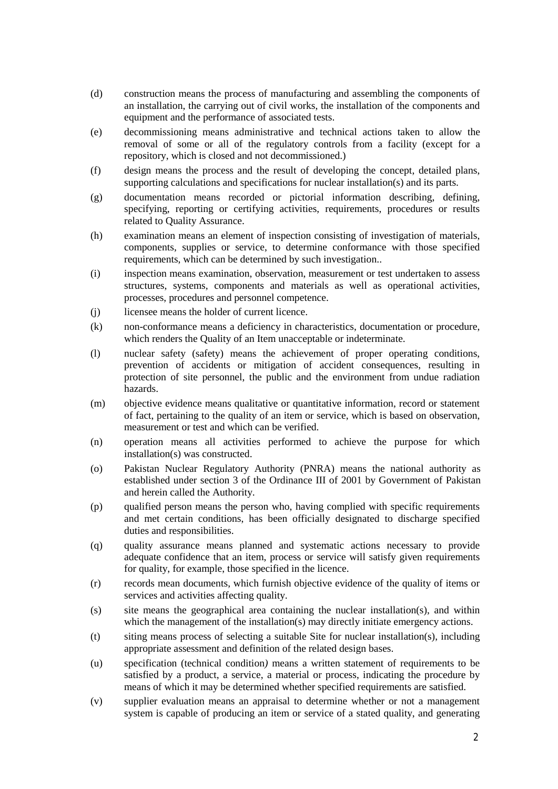- (d) construction means the process of manufacturing and assembling the components of an installation, the carrying out of civil works, the installation of the components and equipment and the performance of associated tests.
- (e) decommissioning means administrative and technical actions taken to allow the removal of some or all of the regulatory controls from a facility (except for a repository, which is closed and not decommissioned.)
- (f) design means the process and the result of developing the concept, detailed plans, supporting calculations and specifications for nuclear installation(s) and its parts.
- (g) documentation means recorded or pictorial information describing, defining, specifying, reporting or certifying activities, requirements, procedures or results related to Quality Assurance.
- (h) examination means an element of inspection consisting of investigation of materials, components, supplies or service, to determine conformance with those specified requirements, which can be determined by such investigation..
- (i) inspection means examination, observation, measurement or test undertaken to assess structures, systems, components and materials as well as operational activities, processes, procedures and personnel competence.
- (j) licensee means the holder of current licence.
- (k) non-conformance means a deficiency in characteristics, documentation or procedure, which renders the Quality of an Item unacceptable or indeterminate.
- (l) nuclear safety (safety) means the achievement of proper operating conditions, prevention of accidents or mitigation of accident consequences, resulting in protection of site personnel, the public and the environment from undue radiation hazards.
- (m) objective evidence means qualitative or quantitative information, record or statement of fact, pertaining to the quality of an item or service, which is based on observation, measurement or test and which can be verified.
- (n) operation means all activities performed to achieve the purpose for which installation(s) was constructed.
- (o) Pakistan Nuclear Regulatory Authority (PNRA) means the national authority as established under section 3 of the Ordinance III of 2001 by Government of Pakistan and herein called the Authority.
- (p) qualified person means the person who, having complied with specific requirements and met certain conditions, has been officially designated to discharge specified duties and responsibilities.
- (q) quality assurance means planned and systematic actions necessary to provide adequate confidence that an item, process or service will satisfy given requirements for quality, for example, those specified in the licence.
- (r) records mean documents, which furnish objective evidence of the quality of items or services and activities affecting quality.
- (s) site means the geographical area containing the nuclear installation(s), and within which the management of the installation(s) may directly initiate emergency actions.
- (t) siting means process of selecting a suitable Site for nuclear installation(s), including appropriate assessment and definition of the related design bases.
- (u) specification (technical condition*)* means a written statement of requirements to be satisfied by a product, a service, a material or process, indicating the procedure by means of which it may be determined whether specified requirements are satisfied.
- (v) supplier evaluation means an appraisal to determine whether or not a management system is capable of producing an item or service of a stated quality, and generating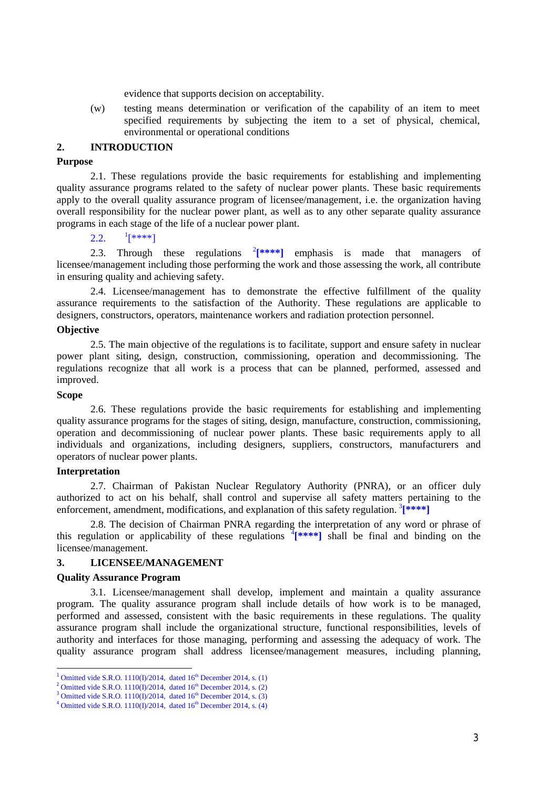evidence that supports decision on acceptability.

(w) testing means determination or verification of the capability of an item to meet specified requirements by subjecting the item to a set of physical, chemical, environmental or operational conditions

# **2. INTRODUCTION**

# **Purpose**

2.1. These regulations provide the basic requirements for establishing and implementing quality assurance programs related to the safety of nuclear power plants. These basic requirements apply to the overall quality assurance program of licensee/management, i.e. the organization having overall responsibility for the nuclear power plant, as well as to any other separate quality assurance programs in each stage of the life of a nuclear power plant.

#### $2.2.$  $1$ [\*\*\*\*]

[2](#page-2-1).3. Through these regulations  $2[***"]$  emphasis is made that managers of licensee/management including those performing the work and those assessing the work, all contribute in ensuring quality and achieving safety.

2.4. Licensee/management has to demonstrate the effective fulfillment of the quality assurance requirements to the satisfaction of the Authority. These regulations are applicable to designers, constructors, operators, maintenance workers and radiation protection personnel.

### **Objective**

2.5. The main objective of the regulations is to facilitate, support and ensure safety in nuclear power plant siting, design, construction, commissioning, operation and decommissioning. The regulations recognize that all work is a process that can be planned, performed, assessed and improved.

#### **Scope**

 $\overline{a}$ 

2.6. These regulations provide the basic requirements for establishing and implementing quality assurance programs for the stages of siting, design, manufacture, construction, commissioning, operation and decommissioning of nuclear power plants. These basic requirements apply to all individuals and organizations, including designers, suppliers, constructors, manufacturers and operators of nuclear power plants.

### **Interpretation**

2.7. Chairman of Pakistan Nuclear Regulatory Authority (PNRA), or an officer duly authorized to act on his behalf, shall control and supervise all safety matters pertaining to the enforcement, amendment, modifications, and explanation of this safety regulation. <sup>[3](#page-2-2)</sup>[\*\*\*\*]

2.8. The decision of Chairman PNRA regarding the interpretation of any word or phrase of this regulation or applicability of these regulations  $[$ <sup>\*</sup> $[$ \*\*\*\*] shall be final and binding on the licensee/management.

### **3. LICENSEE/MANAGEMENT**

#### **Quality Assurance Program**

3.1. Licensee/management shall develop, implement and maintain a quality assurance program. The quality assurance program shall include details of how work is to be managed, performed and assessed, consistent with the basic requirements in these regulations. The quality assurance program shall include the organizational structure, functional responsibilities, levels of authority and interfaces for those managing, performing and assessing the adequacy of work. The quality assurance program shall address licensee/management measures, including planning,

<sup>&</sup>lt;sup>1</sup> Omitted vide S.R.O. 1110(I)/2014, dated  $16<sup>th</sup>$  December 2014, s. (1)

<span id="page-2-1"></span><span id="page-2-0"></span><sup>&</sup>lt;sup>2</sup> Omitted vide S.R.O. 1110(I)/2014, dated  $16<sup>th</sup>$  December 2014, s. (2)

<span id="page-2-2"></span> $3$  Omitted vide S.R.O. 1110(I)/2014, dated  $16<sup>th</sup>$  December 2014, s. (3)

<span id="page-2-3"></span><sup>&</sup>lt;sup>4</sup> Omitted vide S.R.O. 1110(I)/2014, dated  $16<sup>th</sup>$  December 2014, s. (4)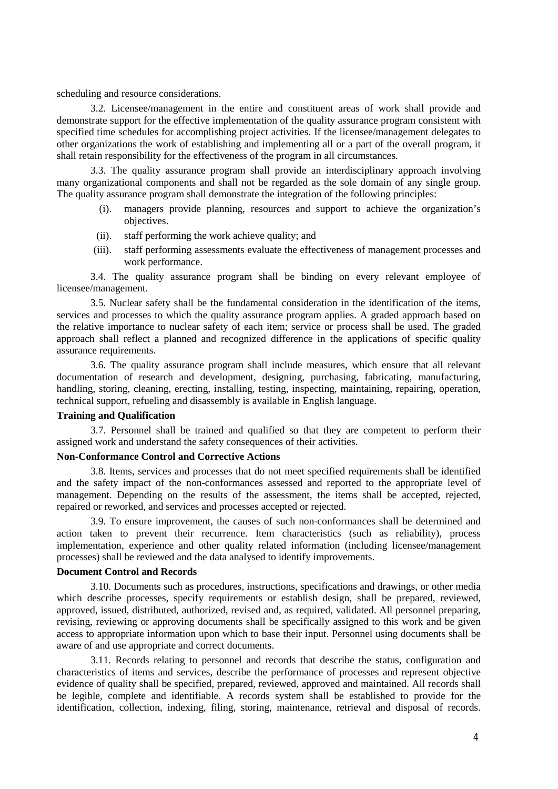scheduling and resource considerations.

3.2. Licensee/management in the entire and constituent areas of work shall provide and demonstrate support for the effective implementation of the quality assurance program consistent with specified time schedules for accomplishing project activities. If the licensee/management delegates to other organizations the work of establishing and implementing all or a part of the overall program, it shall retain responsibility for the effectiveness of the program in all circumstances.

3.3. The quality assurance program shall provide an interdisciplinary approach involving many organizational components and shall not be regarded as the sole domain of any single group. The quality assurance program shall demonstrate the integration of the following principles:

- (i). managers provide planning, resources and support to achieve the organization's objectives.
- (ii). staff performing the work achieve quality; and
- (iii). staff performing assessments evaluate the effectiveness of management processes and work performance.

3.4. The quality assurance program shall be binding on every relevant employee of licensee/management.

3.5. Nuclear safety shall be the fundamental consideration in the identification of the items, services and processes to which the quality assurance program applies. A graded approach based on the relative importance to nuclear safety of each item; service or process shall be used. The graded approach shall reflect a planned and recognized difference in the applications of specific quality assurance requirements.

3.6. The quality assurance program shall include measures, which ensure that all relevant documentation of research and development, designing, purchasing, fabricating, manufacturing, handling, storing, cleaning, erecting, installing, testing, inspecting, maintaining, repairing, operation, technical support, refueling and disassembly is available in English language.

# **Training and Qualification**

3.7. Personnel shall be trained and qualified so that they are competent to perform their assigned work and understand the safety consequences of their activities.

# **Non-Conformance Control and Corrective Actions**

3.8. Items, services and processes that do not meet specified requirements shall be identified and the safety impact of the non-conformances assessed and reported to the appropriate level of management. Depending on the results of the assessment, the items shall be accepted, rejected, repaired or reworked, and services and processes accepted or rejected.

3.9. To ensure improvement, the causes of such non-conformances shall be determined and action taken to prevent their recurrence. Item characteristics (such as reliability), process implementation, experience and other quality related information (including licensee/management processes) shall be reviewed and the data analysed to identify improvements.

#### **Document Control and Records**

3.10. Documents such as procedures, instructions, specifications and drawings, or other media which describe processes, specify requirements or establish design, shall be prepared, reviewed, approved, issued, distributed, authorized, revised and, as required, validated. All personnel preparing, revising, reviewing or approving documents shall be specifically assigned to this work and be given access to appropriate information upon which to base their input. Personnel using documents shall be aware of and use appropriate and correct documents.

3.11. Records relating to personnel and records that describe the status, configuration and characteristics of items and services, describe the performance of processes and represent objective evidence of quality shall be specified, prepared, reviewed, approved and maintained. All records shall be legible, complete and identifiable. A records system shall be established to provide for the identification, collection, indexing, filing, storing, maintenance, retrieval and disposal of records.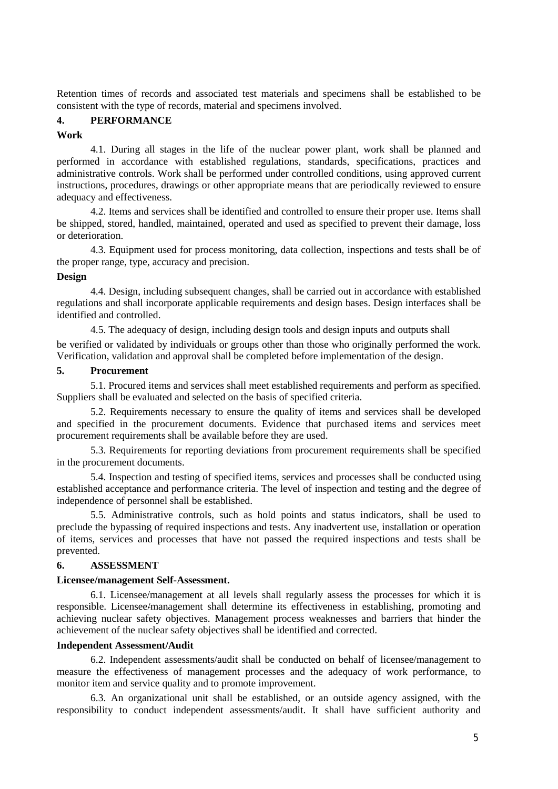Retention times of records and associated test materials and specimens shall be established to be consistent with the type of records, material and specimens involved.

# **4. PERFORMANCE**

## **Work**

4.1. During all stages in the life of the nuclear power plant, work shall be planned and performed in accordance with established regulations, standards, specifications, practices and administrative controls. Work shall be performed under controlled conditions, using approved current instructions, procedures, drawings or other appropriate means that are periodically reviewed to ensure adequacy and effectiveness.

4.2. Items and services shall be identified and controlled to ensure their proper use. Items shall be shipped, stored, handled, maintained, operated and used as specified to prevent their damage, loss or deterioration.

4.3. Equipment used for process monitoring, data collection, inspections and tests shall be of the proper range, type, accuracy and precision.

## **Design**

4.4. Design, including subsequent changes, shall be carried out in accordance with established regulations and shall incorporate applicable requirements and design bases. Design interfaces shall be identified and controlled.

4.5. The adequacy of design, including design tools and design inputs and outputs shall

be verified or validated by individuals or groups other than those who originally performed the work. Verification, validation and approval shall be completed before implementation of the design.

# **5. Procurement**

5.1. Procured items and services shall meet established requirements and perform as specified. Suppliers shall be evaluated and selected on the basis of specified criteria.

5.2. Requirements necessary to ensure the quality of items and services shall be developed and specified in the procurement documents. Evidence that purchased items and services meet procurement requirements shall be available before they are used.

5.3. Requirements for reporting deviations from procurement requirements shall be specified in the procurement documents.

5.4. Inspection and testing of specified items, services and processes shall be conducted using established acceptance and performance criteria. The level of inspection and testing and the degree of independence of personnel shall be established.

5.5. Administrative controls, such as hold points and status indicators, shall be used to preclude the bypassing of required inspections and tests. Any inadvertent use, installation or operation of items, services and processes that have not passed the required inspections and tests shall be prevented.

# **6. ASSESSMENT**

# **Licensee/management Self-Assessment.**

6.1. Licensee/management at all levels shall regularly assess the processes for which it is responsible. Licensee/management shall determine its effectiveness in establishing, promoting and achieving nuclear safety objectives. Management process weaknesses and barriers that hinder the achievement of the nuclear safety objectives shall be identified and corrected.

## **Independent Assessment/Audit**

6.2. Independent assessments/audit shall be conducted on behalf of licensee/management to measure the effectiveness of management processes and the adequacy of work performance, to monitor item and service quality and to promote improvement.

6.3. An organizational unit shall be established, or an outside agency assigned, with the responsibility to conduct independent assessments/audit. It shall have sufficient authority and